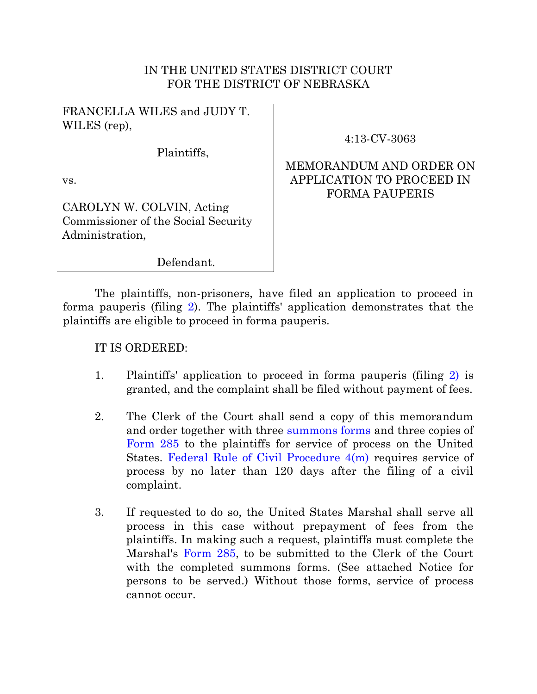## IN THE UNITED STATES DISTRICT COURT FOR THE DISTRICT OF NEBRASKA

FRANCELLA WILES and JUDY T. WILES (rep),

Plaintiffs,

4:13-CV-3063

MEMORANDUM AND ORDER ON

## vs.

CAROLYN W. COLVIN, Acting Commissioner of the Social Security Administration,

APPLICATION TO PROCEED IN FORMA PAUPERIS

Defendant.

The plaintiffs, non-prisoners, have filed an application to proceed in forma pauperis (filing [2\)](https://ecf.ned.uscourts.gov/doc1/11312742513). The plaintiffs' application demonstrates that the plaintiffs are eligible to proceed in forma pauperis.

## IT IS ORDERED:

- 1. Plaintiffs' application to proceed in forma pauperis (filing [2\)](https://ecf.ned.uscourts.gov/doc1/11312742513) is granted, and the complaint shall be filed without payment of fees.
- 2. The Clerk of the Court shall send a copy of this memorandum and order together with three [summons forms](http://www.uscourts.gov/FormsAndFees/Forms/Viewer.aspx?doc=/uscourts/FormsAndFees/Forms/AO440.pdf) and three copies of [Form 285](http://www.usmarshals.gov/process/usm-285.pdf) to the plaintiffs for service of process on the United States. [Federal Rule of Civil Procedure 4\(m\)](http://www.law.cornell.edu/rules/frcp/rule_4) requires service of process by no later than 120 days after the filing of a civil complaint.
- 3. If requested to do so, the United States Marshal shall serve all process in this case without prepayment of fees from the plaintiffs. In making such a request, plaintiffs must complete the Marshal's [Form 285,](http://www.usmarshals.gov/process/usm-285.pdf) to be submitted to the Clerk of the Court with the completed summons forms. (See attached Notice for persons to be served.) Without those forms, service of process cannot occur.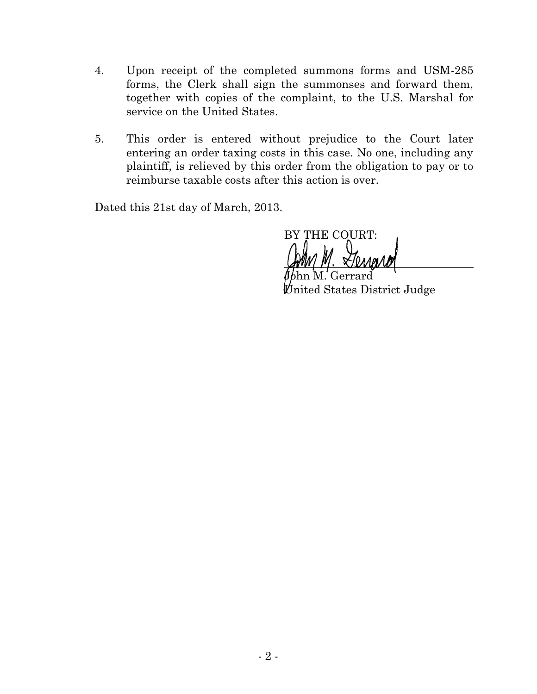- 4. Upon receipt of the completed summons forms and USM-285 forms, the Clerk shall sign the summonses and forward them, together with copies of the complaint, to the U.S. Marshal for service on the United States.
- 5. This order is entered without prejudice to the Court later entering an order taxing costs in this case. No one, including any plaintiff, is relieved by this order from the obligation to pay or to reimburse taxable costs after this action is over.

Dated this 21st day of March, 2013.

BY THE COURT:

John M. Gerrard United States District Judge